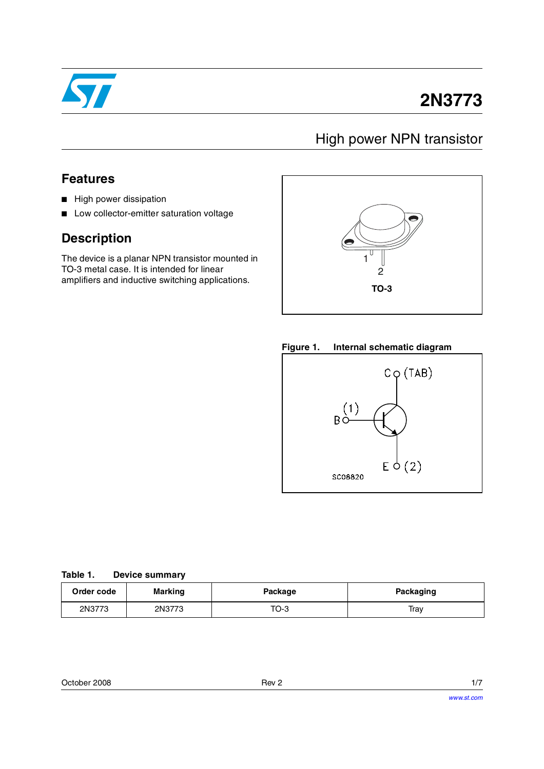

# **2N3773**

## High power NPN transistor

### **Features**

- High power dissipation
- Low collector-emitter saturation voltage

## **Description**

The device is a planar NPN transistor mounted in TO-3 metal case. It is intended for linear amplifiers and inductive switching applications.



### **Figure 1. Internal schematic diagram**



### **Table 1. Device summary**

| Order code | <b>Marking</b> | Package | <b>Packaging</b> |
|------------|----------------|---------|------------------|
| 2N3773     | 2N3773         | TO-3    | Tray             |

| Rev 2 |  |
|-------|--|
|       |  |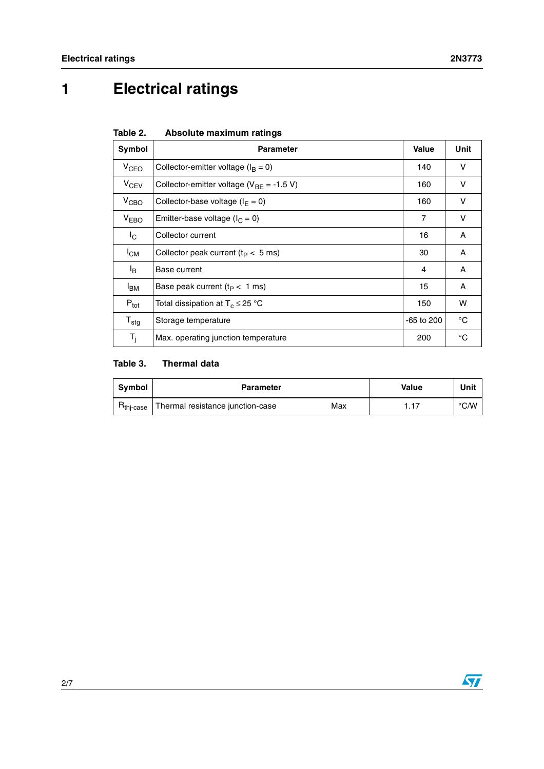# **1 Electrical ratings**

| Table 2. | Absolute maximum ratings |  |
|----------|--------------------------|--|
|          |                          |  |

| Symbol           | <b>Parameter</b>                               | Value          | Unit        |
|------------------|------------------------------------------------|----------------|-------------|
| V <sub>CEO</sub> | Collector-emitter voltage ( $I_B = 0$ )        | 140            | v           |
| $V_{CEV}$        | Collector-emitter voltage ( $V_{BF}$ = -1.5 V) | 160            | v           |
| V <sub>CBO</sub> | Collector-base voltage ( $I_F = 0$ )           | 160            | v           |
| V <sub>EBO</sub> | Emitter-base voltage ( $I_C = 0$ )             | $\overline{7}$ | v           |
| $I_{\rm C}$      | Collector current                              | 16             | Α           |
| $I_{CM}$         | Collector peak current $(t_P < 5$ ms)          | 30             | A           |
| l <sub>B</sub>   | Base current                                   | 4              | A           |
| <sup>I</sup> BM  | Base peak current $(t_P < 1$ ms)               | 15             | A           |
| $P_{\text{tot}}$ | Total dissipation at $T_c \leq 25$ °C          | 150            | w           |
| $T_{\text{stg}}$ | Storage temperature                            | $-65$ to 200   | °C          |
| $T_i$            | Max. operating junction temperature            | 200            | $^{\circ}C$ |

### **Table 3. Thermal data**

| Symbol                | <b>Parameter</b>                        | Value | Unit |
|-----------------------|-----------------------------------------|-------|------|
| H <sub>thi-case</sub> | Thermal resistance junction-case<br>Max |       | °C/W |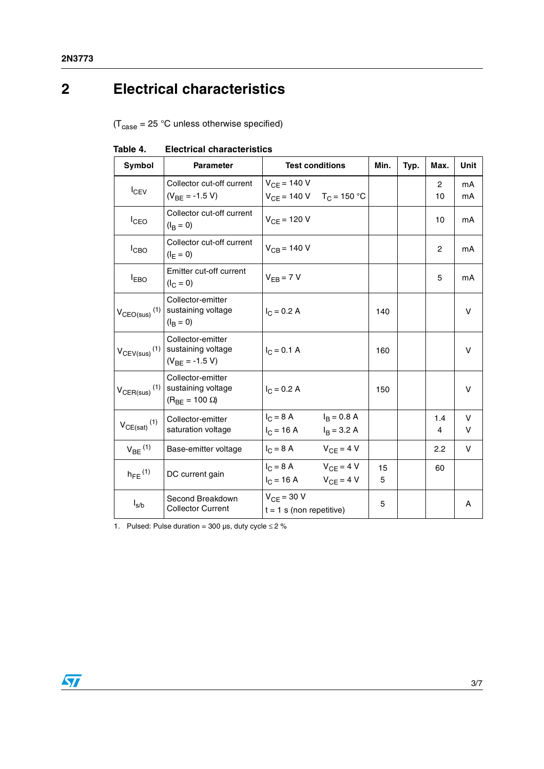# **2 Electrical characteristics**

 $(T_{\text{case}} = 25 \text{ °C}$  unless otherwise specified)

| Symbol                               | <b>Parameter</b>                                                   | <b>Test conditions</b>                                                    |                                | Min.    | Typ. | Max.                 | Unit     |
|--------------------------------------|--------------------------------------------------------------------|---------------------------------------------------------------------------|--------------------------------|---------|------|----------------------|----------|
| $I_{CEV}$                            | Collector cut-off current<br>$(V_{BF} = -1.5 V)$                   | $V_{CE} = 140 V$<br>$V_{CE}$ = 140 V T <sub>C</sub> = 150 °C              |                                |         |      | $\overline{2}$<br>10 | mA<br>mA |
| $I_{CEO}$                            | Collector cut-off current<br>$(I_{\rm B} = 0)$                     | $V_{CF}$ = 120 V                                                          |                                |         |      | 10                   | mA       |
| $I_{CBO}$                            | Collector cut-off current<br>$(I_F = 0)$                           | $V_{CB} = 140 V$                                                          |                                |         |      | $\overline{c}$       | mA       |
| $I_{EBO}$                            | Emitter cut-off current<br>$(I_C = 0)$                             | $V_{FR}$ = 7 V                                                            |                                |         |      | 5                    | mA       |
| $V_{CEO(sus)}$ <sup>(1)</sup>        | Collector-emitter<br>sustaining voltage<br>$(I_{\rm B} = 0)$       | $I_C = 0.2 A$                                                             |                                | 140     |      |                      | v        |
| $V_{CEV(sus)}$ <sup>(1)</sup>        | Collector-emitter<br>sustaining voltage<br>$(V_{BF} = -1.5 V)$     | $I_C = 0.1 A$                                                             |                                | 160     |      |                      | v        |
| $V_{\text{CER(sus)}}$ <sup>(1)</sup> | Collector-emitter<br>sustaining voltage<br>$(R_{BF} = 100 \Omega)$ | $I_C = 0.2 A$                                                             |                                | 150     |      |                      | v        |
| $V_{CE(sat)}$ <sup>(1)</sup>         | Collector-emitter<br>saturation voltage                            | $I_C = 8 A$<br>$I_C = 16 A$                                               | $I_B = 0.8 A$<br>$I_B = 3.2 A$ |         |      | 1.4<br>4             | V<br>V   |
| $V_{BE}$ <sup>(1)</sup>              | Base-emitter voltage                                               | $I_C = 8 A$                                                               | $V_{CF} = 4 V$                 |         |      | 2.2                  | v        |
| $h_{FE}$ <sup>(1)</sup>              | DC current gain                                                    | $I_C = 8 A$ $V_{CF} = 4 V$<br>$I_C = 16 \text{ A}$ $V_{CF} = 4 \text{ V}$ |                                | 15<br>5 |      | 60                   |          |
| $I_{s/b}$                            | Second Breakdown<br><b>Collector Current</b>                       | $V_{CF}$ = 30 V<br>$t = 1$ s (non repetitive)                             |                                | 5       |      |                      | Α        |

**Table 4. Electrical characteristics**

1. Pulsed: Pulse duration = 300  $\mu$ s, duty cycle  $\leq$  2 %

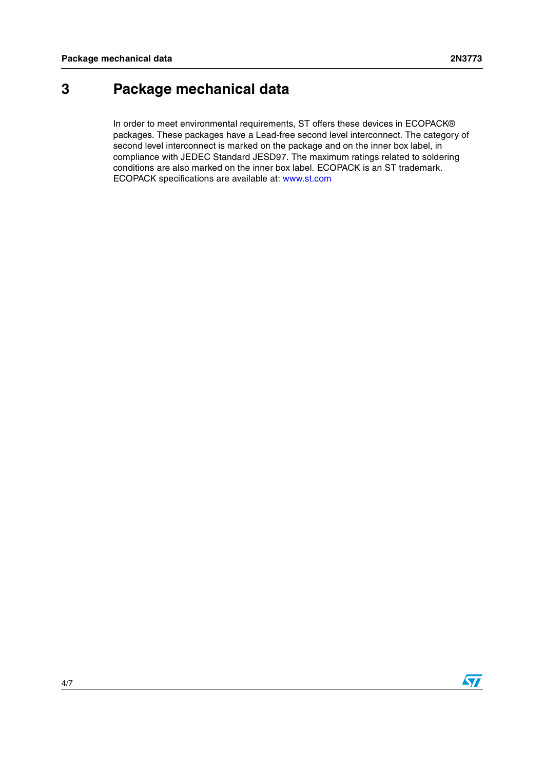## **3 Package mechanical data**

In order to meet environmental requirements, ST offers these devices in ECOPACK® packages. These packages have a Lead-free second level interconnect. The category of second level interconnect is marked on the package and on the inner box label, in compliance with JEDEC Standard JESD97. The maximum ratings related to soldering conditions are also marked on the inner box label. ECOPACK is an ST trademark. ECOPACK specifications are available at: www.st.com

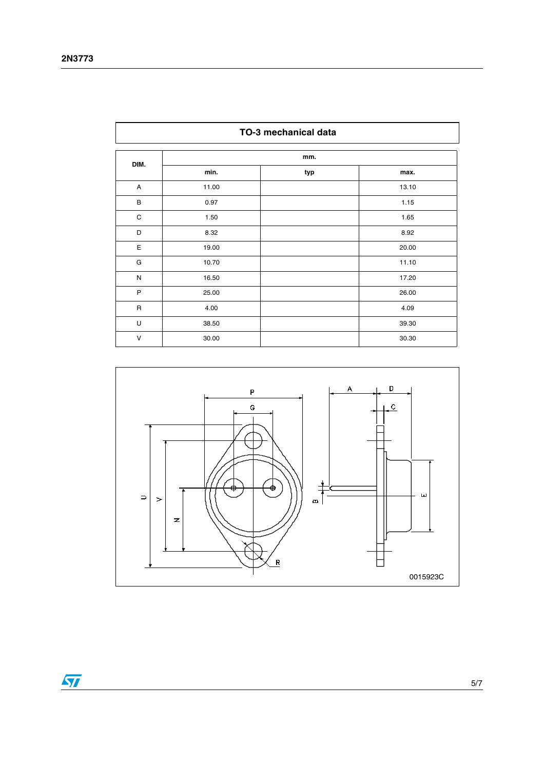ı

| TO-3 mechanical data |       |     |       |
|----------------------|-------|-----|-------|
| DIM.                 |       | mm. |       |
|                      | min.  | typ | max.  |
| A                    | 11.00 |     | 13.10 |
| B                    | 0.97  |     | 1.15  |
| C                    | 1.50  |     | 1.65  |
| D                    | 8.32  |     | 8.92  |
| E                    | 19.00 |     | 20.00 |
| G                    | 10.70 |     | 11.10 |
| ${\sf N}$            | 16.50 |     | 17.20 |
| P                    | 25.00 |     | 26.00 |
| $\mathsf{R}$         | 4.00  |     | 4.09  |
| U                    | 38.50 |     | 39.30 |
| $\vee$               | 30.00 |     | 30.30 |





٦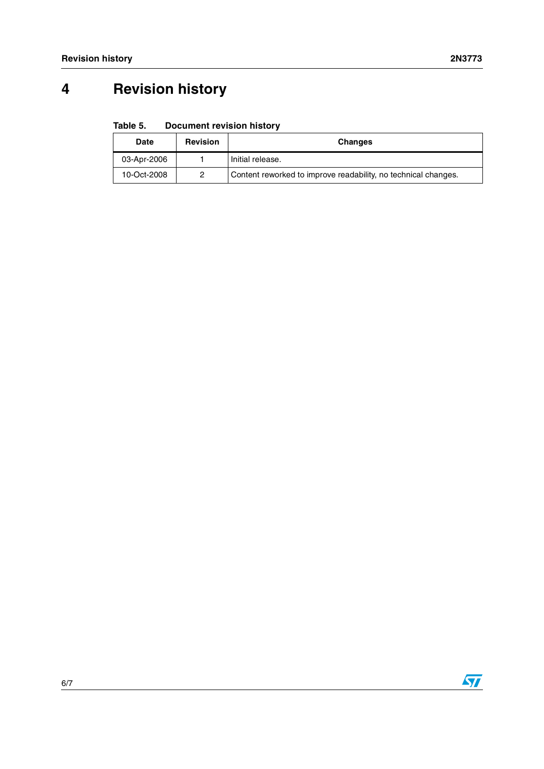# **4 Revision history**

#### Table 5. **Document revision history**

| Date        | <b>Revision</b> | <b>Changes</b>                                                 |
|-------------|-----------------|----------------------------------------------------------------|
| 03-Apr-2006 |                 | Initial release.                                               |
| 10-Oct-2008 | 2               | Content reworked to improve readability, no technical changes. |



 $\overline{\mathbf{S}}$